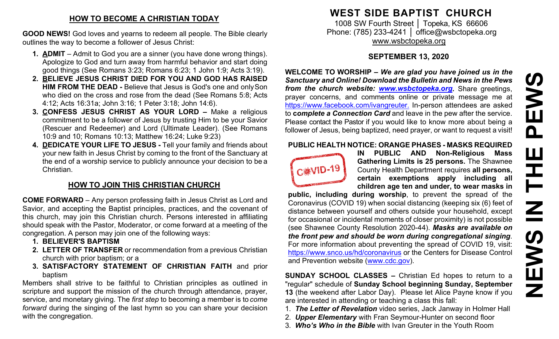### **HOW TO BECOME A CHRISTIAN TODAY**

**GOOD NEWS!** God loves and yearns to redeem all people. The Bible clearly outlines the way to become a follower of Jesus Christ:

- **1. ADMIT**  Admit to God you are a sinner (you have done wrong things). Apologize to God and turn away from harmful behavior and start doing good things (See Romans 3:23; Romans 6:23; 1 John 1:9; Acts 3:19).
- **2. BELIEVE JESUS CHRIST DIED FOR YOU AND GOD HAS RAISED HIM FROM THE DEAD -** Believe that Jesus is God's one and onlySon who died on the cross and rose from the dead (See Romans 5:8; Acts 4:12; Acts 16:31a; John 3:16; 1 Peter 3:18; John 14:6).
- **3. CONFESS JESUS CHRIST AS YOUR LORD –** Make a religious commitment to be a follower of Jesus by trusting Him to be your Savior (Rescuer and Redeemer) and Lord (Ultimate Leader). (See Romans 10:9 and 10; Romans 10:13; Matthew 16:24; Luke 9:23)
- **4. DEDICATE YOUR LIFE TO JESUS -** Tell your family and friends about your new faith in Jesus Christ by coming to the front of the Sanctuary at the end of a worship service to publicly announce your decision to be a Christian.

# **HOW TO JOIN THIS CHRISTIAN CHURCH**

**COME FORWARD** – Any person professing faith in Jesus Christ as Lord and Savior, and accepting the Baptist principles, practices, and the covenant of this church, may join this Christian church. Persons interested in affiliating should speak with the Pastor, Moderator, or come forward at a meeting of the congregation. A person may join one of the following ways:

- **1. BELIEVER'S BAPTISM**
- **2. LETTER OF TRANSFER** or recommendation from a previous Christian church with prior baptism; or a
- **3. SATISFACTORY STATEMENT OF CHRISTIAN FAITH** and prior baptism

Members shall strive to be faithful to Christian principles as outlined in scripture and support the mission of the church through attendance, prayer, service, and monetary giving. The *first step* to becoming a member is to *come forward* during the singing of the last hymn so you can share your decision with the congregation.

# **WEST SIDE BAPTIST CHURCH**

1008 SW Fourth Street | Topeka, KS 66606 Phone: (785) 233-4241 │ [office@wsbctopeka.org](mailto:office@wsbctopeka.org) [www.wsbctopeka.org](http://www.wsbctopeka.org/)

# **SEPTEMBER 13, 2020**

**WELCOME TO WORSHIP –** *We are glad you have joined us in the Sanctuary and Online! Download the Bulletin and News in the Pews from the church website: [www.wsbctopeka.org.](http://www.wsbctopeka.org/)* Share greetings, prayer concerns, and comments online or private message me at <https://www.facebook.com/ivangreuter.> In-person attendees are asked to **c***omplete a Connection Card* and leave in the pew after the service. Please contact the Pastor if you would like to know more about being a follower of Jesus, being baptized, need prayer, or want to request a visit!

#### **PUBLIC HEALTH NOTICE: ORANGE PHASES - MASKS REQUIRED**



**IN PUBLIC AND Non-Religious Mass Gathering Limits is 25 persons.** The Shawnee County Health Department requires **all persons, certain exemptions apply including all children age ten and under, to wear masks in** 

**public, including during worship**, to prevent the spread of the Coronavirus (COVID 19) when social distancing (keeping six (6) feet of distance between yourself and others outside your household, except for occasional or incidental moments of closer proximity) is not possible (see Shawnee County Resolution 2020-44). *Masks are available on the front pew and should be worn during congregational singing*. For more information about preventing the spread of COVID 19, visit: <https://www.snco.us/hd/coronavirus> or the Centers for Disease Control and Prevention website [\(www.cdc.gov\)](http://www.cdc.gov/).

**SUNDAY SCHOOL CLASSES –** Christian Ed hopes to return to a "regular" schedule of **Sunday School beginning Sunday, September 13** (the weekend after Labor Day). Please let Alice Payne know if you are interested in attending or teaching a class this fall:

- 1. *The Letter of Revelation* video series, Jack Janway in Holmer Hall
- 2. *Upper Elementary* with Fran Seymour-Hunter on second floor
- 3. *Who's Who in the Bible* with Ivan Greuter in the Youth Room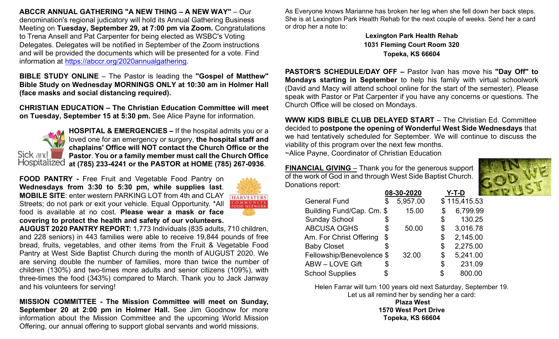**ABCCR ANNUAL GATHERING "A NEW THING – A NEW WAY"** – Our denomination's regional judicatory will hold its Annual Gathering Business Meeting on **Tuesday, September 29, at 7:00 pm via Zoom.** Congratulations to Trena Ansell and Pat Carpenter for being elected as WSBC's Voting Delegates. Delegates will be notified in September of the Zoom instructions and will be provided the documents which will be presented for a vote. Find information at [https://abccr.org/2020annualgathering.](https://abccr.org/2020annualgathering)

**BIBLE STUDY ONLINE** – The Pastor is leading the **"Gospel of Matthew" Bible Study on Wednesday MORNINGS ONLY at 10:30 am in Holmer Hall (face masks and social distancing required).** 

**CHRISTIAN EDUCATION – The Christian Education Committee will meet on Tuesday, September 15 at 5:30 pm.** See Alice Payne for information.



**HOSPITAL & EMERGENCIES –** If the hospital admits you or a loved one for an emergency or surgery, **the hospital staff and chaplains' Office will NOT contact the Church Office or the Pastor**. **You or a family member must call the Church Office at (785) 233-4241 or the PASTOR at HOME (785) 267-0936**.

**FOOD PANTRY -** Free Fruit and Vegetable Food Pantry on **Wednesdays from 3:30 to 5:30 pm, while supplies last**. **MOBILE SITE**: enter western PARKING LOT from 4th and CLAY Streets; do not park or exit your vehicle. Equal Opportunity. \*All food is available at no cost. **Please wear a mask or face covering to protect the health and safety of our volunteers.**



**AUGUST 2020 PANTRY REPORT:** 1,773 Individuals (835 adults, 710 children, and 228 seniors) in 443 families were able to receive 19,844 pounds of free bread, fruits, vegetables, and other items from the Fruit & Vegetable Food Pantry at West Side Baptist Church during the month of AUGUST 2020. We are serving double the number of families, more than twice the number of children (130%) and two-times more adults and senior citizens (109%), with three-times the food (343%) compared to March. Thank you to Jack Janway and his volunteers for serving!

**MISSION COMMITTEE - The Mission Committee will meet on Sunday, September 20 at 2:00 pm in Holmer Hall.** See Jim Goodnow for more information about the Mission Committee and the upcoming World Mission Offering, our annual offering to support global servants and world missions.

As Everyone knows Marianne has broken her leg when she fell down her back steps. She is at Lexington Park Health Rehab for the next couple of weeks. Send her a card or drop her a note to:

> **Lexington Park Health Rehab 1031 Fleming Court Room 320 Topeka, KS 66604**

**PASTOR'S SCHEDULE/DAY OFF –** Pastor Ivan has move his **"Day Off" to Mondays starting in September** to help his family with virtual schoolwork (David and Macy will attend school online for the start of the semester). Please speak with Pastor or Pat Carpenter if you have any concerns or questions. The Church Office will be closed on Mondays.

**WWW KIDS BIBLE CLUB DELAYED START** – The Christian Ed. Committee decided to **postpone the opening of Wonderful West Side Wednesdays** that we had tentatively scheduled for September. We will continue to discuss the viability of this program over the next few months.

~Alice Payne, Coordinator of Christian Education

**FINANCIAL GIVING** – Thank you for the generous support of the work of God in and through West Side Baptist Church. Donations report:



|                                                        |            | Y-T-D        |
|--------------------------------------------------------|------------|--------------|
| \$<br>5,957.00                                         |            | \$115,415.53 |
| 15.00                                                  | \$         | 6,799.99     |
| \$                                                     | \$         | 130.25       |
| \$<br>50.00                                            | \$         | 3,016.78     |
| \$                                                     | \$         | 2,145.00     |
| \$                                                     | \$         | 2,275.00     |
| 32.00                                                  | \$         | 5,241.00     |
| \$                                                     | \$         | 231.09       |
|                                                        | S          | 800.00       |
| Building Fund/Cap. Cm. \$<br>Fellowship/Benevolence \$ | 08-30-2020 |              |

Helen Farrar will turn 100 years old next Saturday, September 19. Let us all remind her by sending her a card:

**Plaza West 1570 West Port Drive Topeka, KS 66604**